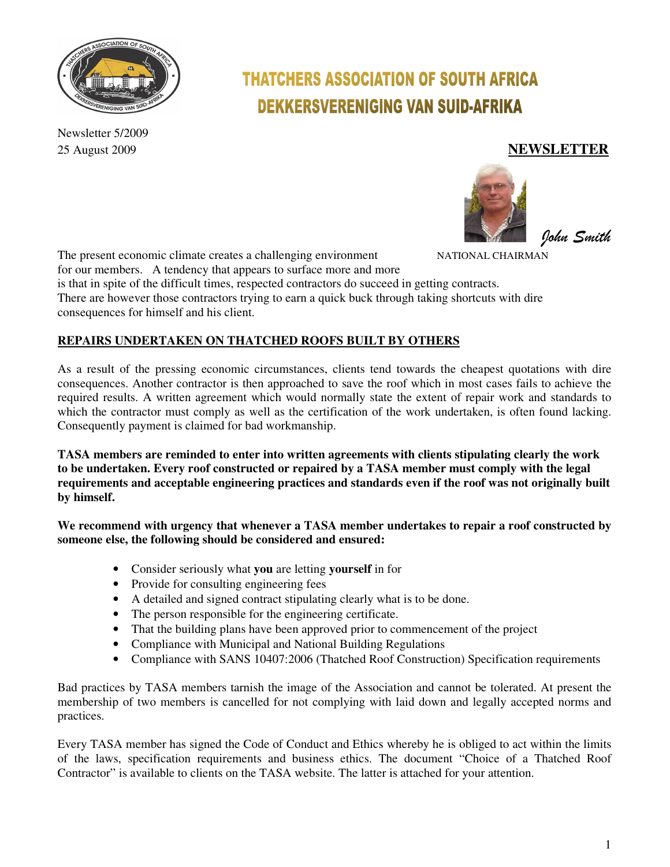

Newsletter 5/2009

# **THATCHERS ASSOCIATION OF SOUTH AFRICA DEKKERSVERENIGING VAN SUID-AFRIKA**

# 25 August 2009 **NEWSLETTER**





The present economic climate creates a challenging environment NATIONAL CHAIRMAN for our members. A tendency that appears to surface more and more is that in spite of the difficult times, respected contractors do succeed in getting contracts. There are however those contractors trying to earn a quick buck through taking shortcuts with dire consequences for himself and his client.

# **REPAIRS UNDERTAKEN ON THATCHED ROOFS BUILT BY OTHERS**

As a result of the pressing economic circumstances, clients tend towards the cheapest quotations with dire consequences. Another contractor is then approached to save the roof which in most cases fails to achieve the required results. A written agreement which would normally state the extent of repair work and standards to which the contractor must comply as well as the certification of the work undertaken, is often found lacking. Consequently payment is claimed for bad workmanship.

**TASA members are reminded to enter into written agreements with clients stipulating clearly the work to be undertaken. Every roof constructed or repaired by a TASA member must comply with the legal requirements and acceptable engineering practices and standards even if the roof was not originally built by himself.** 

**We recommend with urgency that whenever a TASA member undertakes to repair a roof constructed by someone else, the following should be considered and ensured:** 

- Consider seriously what **you** are letting **yourself** in for
- Provide for consulting engineering fees
- A detailed and signed contract stipulating clearly what is to be done.
- The person responsible for the engineering certificate.
- That the building plans have been approved prior to commencement of the project
- Compliance with Municipal and National Building Regulations
- Compliance with SANS 10407:2006 (Thatched Roof Construction) Specification requirements

Bad practices by TASA members tarnish the image of the Association and cannot be tolerated. At present the membership of two members is cancelled for not complying with laid down and legally accepted norms and practices.

Every TASA member has signed the Code of Conduct and Ethics whereby he is obliged to act within the limits of the laws, specification requirements and business ethics. The document "Choice of a Thatched Roof Contractor" is available to clients on the TASA website. The latter is attached for your attention.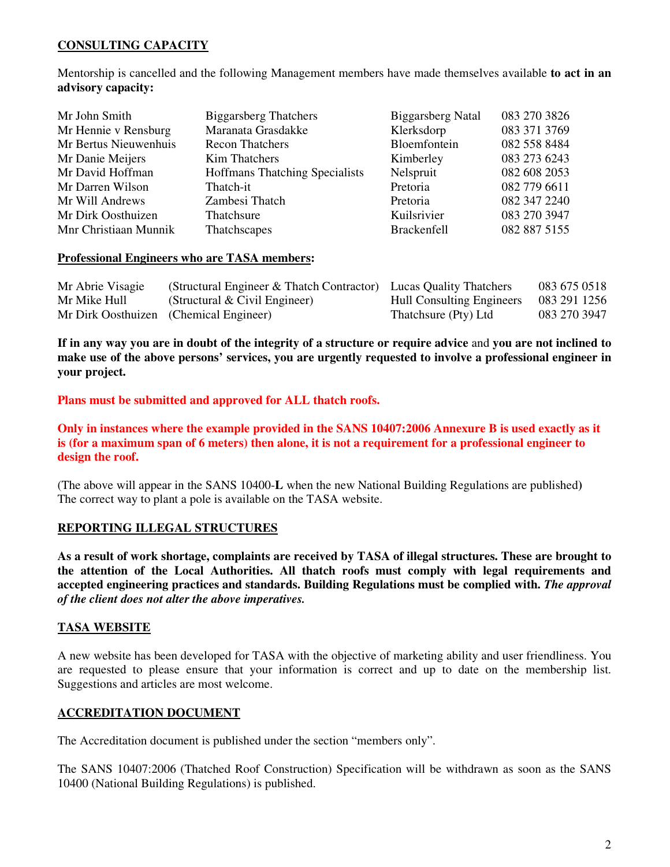## **CONSULTING CAPACITY**

Mentorship is cancelled and the following Management members have made themselves available **to act in an advisory capacity:**

| Mr John Smith         | <b>Biggarsberg Thatchers</b>          | <b>Biggarsberg Natal</b> | 083 270 3826 |
|-----------------------|---------------------------------------|--------------------------|--------------|
| Mr Hennie v Rensburg  | Maranata Grasdakke                    | Klerksdorp               | 083 371 3769 |
| Mr Bertus Nieuwenhuis | <b>Recon Thatchers</b>                | Bloemfontein             | 082 558 8484 |
| Mr Danie Meijers      | Kim Thatchers                         | Kimberley                | 083 273 6243 |
| Mr David Hoffman      | <b>Hoffmans Thatching Specialists</b> | Nelspruit                | 082 608 2053 |
| Mr Darren Wilson      | Thatch-it                             | Pretoria                 | 082 779 6611 |
| Mr Will Andrews       | Zambesi Thatch                        | Pretoria                 | 082 347 2240 |
| Mr Dirk Oosthuizen    | Thatchsure                            | Kuilsrivier              | 083 270 3947 |
| Mnr Christiaan Munnik | Thatchscapes                          | <b>Brackenfell</b>       | 082 887 5155 |

#### **Professional Engineers who are TASA members:**

| Mr Abrie Visagie | (Structural Engineer & Thatch Contractor) Lucas Quality Thatchers |                                  | 083 675 0518 |
|------------------|-------------------------------------------------------------------|----------------------------------|--------------|
| Mr Mike Hull     | (Structural & Civil Engineer)                                     | <b>Hull Consulting Engineers</b> | 083 291 1256 |
|                  | Mr Dirk Oosthuizen (Chemical Engineer)                            | Thatchsure (Pty) Ltd             | 083 270 3947 |

**If in any way you are in doubt of the integrity of a structure or require advice** and **you are not inclined to make use of the above persons' services, you are urgently requested to involve a professional engineer in your project.** 

**Plans must be submitted and approved for ALL thatch roofs.** 

## **Only in instances where the example provided in the SANS 10407:2006 Annexure B is used exactly as it is (for a maximum span of 6 meters) then alone, it is not a requirement for a professional engineer to design the roof.**

(The above will appear in the SANS 10400-**L** when the new National Building Regulations are published**)**  The correct way to plant a pole is available on the TASA website.

### **REPORTING ILLEGAL STRUCTURES**

**As a result of work shortage, complaints are received by TASA of illegal structures. These are brought to the attention of the Local Authorities. All thatch roofs must comply with legal requirements and accepted engineering practices and standards. Building Regulations must be complied with.** *The approval of the client does not alter the above imperatives.*

## **TASA WEBSITE**

A new website has been developed for TASA with the objective of marketing ability and user friendliness. You are requested to please ensure that your information is correct and up to date on the membership list. Suggestions and articles are most welcome.

### **ACCREDITATION DOCUMENT**

The Accreditation document is published under the section "members only".

The SANS 10407:2006 (Thatched Roof Construction) Specification will be withdrawn as soon as the SANS 10400 (National Building Regulations) is published.